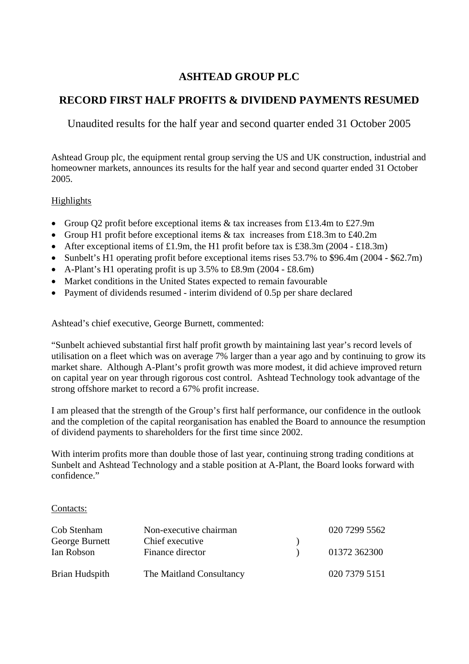## **ASHTEAD GROUP PLC**

## **RECORD FIRST HALF PROFITS & DIVIDEND PAYMENTS RESUMED**

Unaudited results for the half year and second quarter ended 31 October 2005

Ashtead Group plc, the equipment rental group serving the US and UK construction, industrial and homeowner markets, announces its results for the half year and second quarter ended 31 October 2005.

## Highlights

- Group Q2 profit before exceptional items & tax increases from £13.4m to £27.9m
- Group H1 profit before exceptional items & tax increases from £18.3m to £40.2m
- After exceptional items of £1.9m, the H1 profit before tax is £38.3m (2004 £18.3m)
- Sunbelt's H1 operating profit before exceptional items rises 53.7% to \$96.4m (2004 \$62.7m)
- A-Plant's H1 operating profit is up 3.5% to £8.9m (2004 £8.6m)
- Market conditions in the United States expected to remain favourable
- Payment of dividends resumed interim dividend of 0.5p per share declared

Ashtead's chief executive, George Burnett, commented:

"Sunbelt achieved substantial first half profit growth by maintaining last year's record levels of utilisation on a fleet which was on average 7% larger than a year ago and by continuing to grow its market share. Although A-Plant's profit growth was more modest, it did achieve improved return on capital year on year through rigorous cost control. Ashtead Technology took advantage of the strong offshore market to record a 67% profit increase.

I am pleased that the strength of the Group's first half performance, our confidence in the outlook and the completion of the capital reorganisation has enabled the Board to announce the resumption of dividend payments to shareholders for the first time since 2002.

With interim profits more than double those of last year, continuing strong trading conditions at Sunbelt and Ashtead Technology and a stable position at A-Plant, the Board looks forward with confidence."

#### Contacts:

| Cob Stenham    | Non-executive chairman   | 020 7299 5562 |
|----------------|--------------------------|---------------|
| George Burnett | Chief executive          |               |
| Ian Robson     | Finance director         | 01372 362300  |
| Brian Hudspith | The Maitland Consultancy | 020 7379 5151 |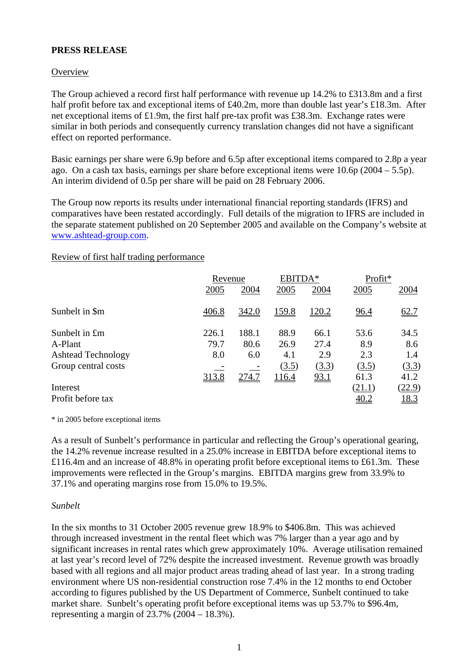### **PRESS RELEASE**

### **Overview**

The Group achieved a record first half performance with revenue up 14.2% to £313.8m and a first half profit before tax and exceptional items of £40.2m, more than double last year's £18.3m. After net exceptional items of £1.9m, the first half pre-tax profit was £38.3m. Exchange rates were similar in both periods and consequently currency translation changes did not have a significant effect on reported performance.

Basic earnings per share were 6.9p before and 6.5p after exceptional items compared to 2.8p a year ago. On a cash tax basis, earnings per share before exceptional items were  $10.6p(2004 - 5.5p)$ . An interim dividend of 0.5p per share will be paid on 28 February 2006.

The Group now reports its results under international financial reporting standards (IFRS) and comparatives have been restated accordingly. Full details of the migration to IFRS are included in the separate statement published on 20 September 2005 and available on the Company's website at [www.ashtead-group.com.](http://www.ashtead-group.com/)

#### Review of first half trading performance

|                           | Revenue |       | EBITDA*                         |       | Profit*     |             |
|---------------------------|---------|-------|---------------------------------|-------|-------------|-------------|
|                           | 2005    | 2004  | 2005                            | 2004  | 2005        | 2004        |
| Sunbelt in \$m            | 406.8   | 342.0 | <u>159.8</u>                    | 120.2 | 96.4        | 62.7        |
| Sunbelt in £m             | 226.1   | 188.1 | 88.9                            | 66.1  | 53.6        | 34.5        |
| A-Plant                   | 79.7    | 80.6  | 26.9                            | 27.4  | 8.9         | 8.6         |
| <b>Ashtead Technology</b> | 8.0     | 6.0   | 4.1                             | 2.9   | 2.3         | 1.4         |
| Group central costs       |         |       | $\left( \underline{3.5}\right)$ | (3.3) | (3.5)       | (3.3)       |
|                           | 313.8   | 274.7 | <u>116.4</u>                    | 93.1  | 61.3        | 41.2        |
| Interest                  |         |       |                                 |       | (21.1)      | (22.9)      |
| Profit before tax         |         |       |                                 |       | <u>40.2</u> | <u>18.3</u> |

\* in 2005 before exceptional items

As a result of Sunbelt's performance in particular and reflecting the Group's operational gearing, the 14.2% revenue increase resulted in a 25.0% increase in EBITDA before exceptional items to £116.4m and an increase of 48.8% in operating profit before exceptional items to £61.3m. These improvements were reflected in the Group's margins. EBITDA margins grew from 33.9% to 37.1% and operating margins rose from 15.0% to 19.5%.

#### *Sunbelt*

In the six months to 31 October 2005 revenue grew 18.9% to \$406.8m. This was achieved through increased investment in the rental fleet which was 7% larger than a year ago and by significant increases in rental rates which grew approximately 10%. Average utilisation remained at last year's record level of 72% despite the increased investment. Revenue growth was broadly based with all regions and all major product areas trading ahead of last year. In a strong trading environment where US non-residential construction rose 7.4% in the 12 months to end October according to figures published by the US Department of Commerce, Sunbelt continued to take market share. Sunbelt's operating profit before exceptional items was up 53.7% to \$96.4m, representing a margin of 23.7% (2004 – 18.3%).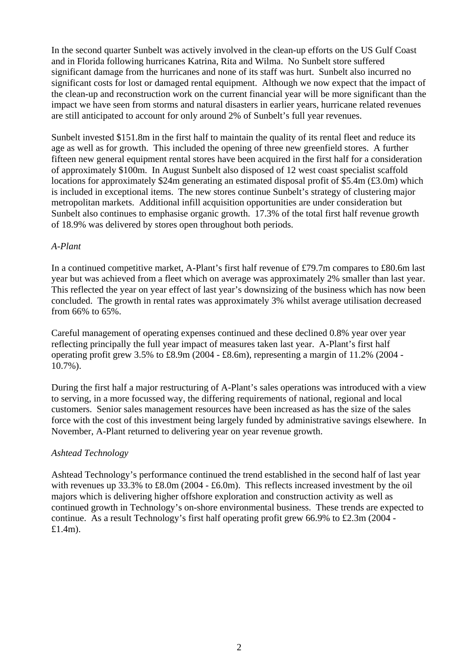In the second quarter Sunbelt was actively involved in the clean-up efforts on the US Gulf Coast and in Florida following hurricanes Katrina, Rita and Wilma. No Sunbelt store suffered significant damage from the hurricanes and none of its staff was hurt. Sunbelt also incurred no significant costs for lost or damaged rental equipment. Although we now expect that the impact of the clean-up and reconstruction work on the current financial year will be more significant than the impact we have seen from storms and natural disasters in earlier years, hurricane related revenues are still anticipated to account for only around 2% of Sunbelt's full year revenues.

Sunbelt invested \$151.8m in the first half to maintain the quality of its rental fleet and reduce its age as well as for growth. This included the opening of three new greenfield stores. A further fifteen new general equipment rental stores have been acquired in the first half for a consideration of approximately \$100m. In August Sunbelt also disposed of 12 west coast specialist scaffold locations for approximately \$24m generating an estimated disposal profit of \$5.4m (£3.0m) which is included in exceptional items. The new stores continue Sunbelt's strategy of clustering major metropolitan markets. Additional infill acquisition opportunities are under consideration but Sunbelt also continues to emphasise organic growth. 17.3% of the total first half revenue growth of 18.9% was delivered by stores open throughout both periods.

### *A-Plant*

In a continued competitive market, A-Plant's first half revenue of £79.7m compares to £80.6m last year but was achieved from a fleet which on average was approximately 2% smaller than last year. This reflected the year on year effect of last year's downsizing of the business which has now been concluded. The growth in rental rates was approximately 3% whilst average utilisation decreased from 66% to 65%.

Careful management of operating expenses continued and these declined 0.8% year over year reflecting principally the full year impact of measures taken last year. A-Plant's first half operating profit grew 3.5% to £8.9m (2004 - £8.6m), representing a margin of 11.2% (2004 - 10.7%).

During the first half a major restructuring of A-Plant's sales operations was introduced with a view to serving, in a more focussed way, the differing requirements of national, regional and local customers. Senior sales management resources have been increased as has the size of the sales force with the cost of this investment being largely funded by administrative savings elsewhere. In November, A-Plant returned to delivering year on year revenue growth.

## *Ashtead Technology*

Ashtead Technology's performance continued the trend established in the second half of last year with revenues up 33.3% to £8.0m (2004 - £6.0m). This reflects increased investment by the oil majors which is delivering higher offshore exploration and construction activity as well as continued growth in Technology's on-shore environmental business. These trends are expected to continue. As a result Technology's first half operating profit grew 66.9% to £2.3m (2004 - £1.4m).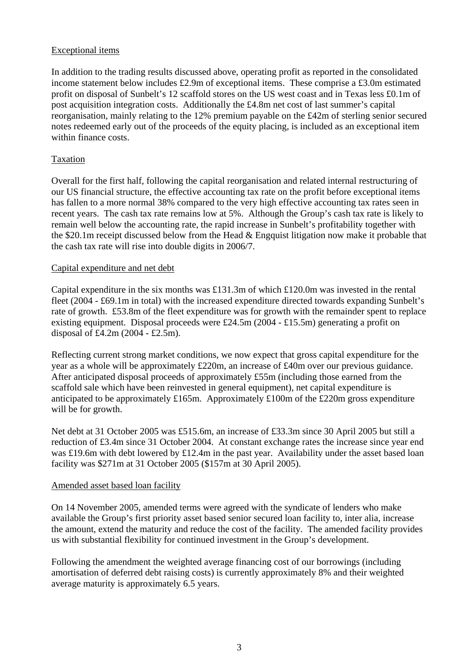## Exceptional items

In addition to the trading results discussed above, operating profit as reported in the consolidated income statement below includes £2.9m of exceptional items. These comprise a £3.0m estimated profit on disposal of Sunbelt's 12 scaffold stores on the US west coast and in Texas less £0.1m of post acquisition integration costs. Additionally the £4.8m net cost of last summer's capital reorganisation, mainly relating to the 12% premium payable on the £42m of sterling senior secured notes redeemed early out of the proceeds of the equity placing, is included as an exceptional item within finance costs.

#### Taxation

Overall for the first half, following the capital reorganisation and related internal restructuring of our US financial structure, the effective accounting tax rate on the profit before exceptional items has fallen to a more normal 38% compared to the very high effective accounting tax rates seen in recent years. The cash tax rate remains low at 5%. Although the Group's cash tax rate is likely to remain well below the accounting rate, the rapid increase in Sunbelt's profitability together with the \$20.1m receipt discussed below from the Head & Engquist litigation now make it probable that the cash tax rate will rise into double digits in 2006/7.

#### Capital expenditure and net debt

Capital expenditure in the six months was £131.3m of which £120.0m was invested in the rental fleet (2004 - £69.1m in total) with the increased expenditure directed towards expanding Sunbelt's rate of growth. £53.8m of the fleet expenditure was for growth with the remainder spent to replace existing equipment. Disposal proceeds were £24.5m (2004 - £15.5m) generating a profit on disposal of £4.2m (2004 - £2.5m).

Reflecting current strong market conditions, we now expect that gross capital expenditure for the year as a whole will be approximately £220m, an increase of £40m over our previous guidance. After anticipated disposal proceeds of approximately £55m (including those earned from the scaffold sale which have been reinvested in general equipment), net capital expenditure is anticipated to be approximately £165m. Approximately £100m of the £220m gross expenditure will be for growth.

Net debt at 31 October 2005 was £515.6m, an increase of £33.3m since 30 April 2005 but still a reduction of £3.4m since 31 October 2004. At constant exchange rates the increase since year end was £19.6m with debt lowered by £12.4m in the past year. Availability under the asset based loan facility was \$271m at 31 October 2005 (\$157m at 30 April 2005).

#### Amended asset based loan facility

On 14 November 2005, amended terms were agreed with the syndicate of lenders who make available the Group's first priority asset based senior secured loan facility to, inter alia, increase the amount, extend the maturity and reduce the cost of the facility. The amended facility provides us with substantial flexibility for continued investment in the Group's development.

Following the amendment the weighted average financing cost of our borrowings (including amortisation of deferred debt raising costs) is currently approximately 8% and their weighted average maturity is approximately 6.5 years.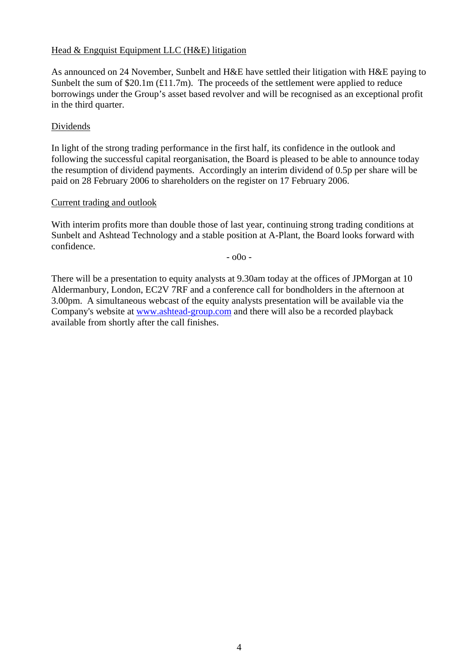## Head & Engquist Equipment LLC (H&E) litigation

As announced on 24 November, Sunbelt and H&E have settled their litigation with H&E paying to Sunbelt the sum of  $$20.1m (£11.7m)$ . The proceeds of the settlement were applied to reduce borrowings under the Group's asset based revolver and will be recognised as an exceptional profit in the third quarter.

#### Dividends

In light of the strong trading performance in the first half, its confidence in the outlook and following the successful capital reorganisation, the Board is pleased to be able to announce today the resumption of dividend payments. Accordingly an interim dividend of 0.5p per share will be paid on 28 February 2006 to shareholders on the register on 17 February 2006.

### Current trading and outlook

With interim profits more than double those of last year, continuing strong trading conditions at Sunbelt and Ashtead Technology and a stable position at A-Plant, the Board looks forward with confidence.

- o0o -

There will be a presentation to equity analysts at 9.30am today at the offices of JPMorgan at 10 Aldermanbury, London, EC2V 7RF and a conference call for bondholders in the afternoon at 3.00pm. A simultaneous webcast of the equity analysts presentation will be available via the Company's website at [www.ashtead-group.com](http://www.ashtead-group.com/) and there will also be a recorded playback available from shortly after the call finishes.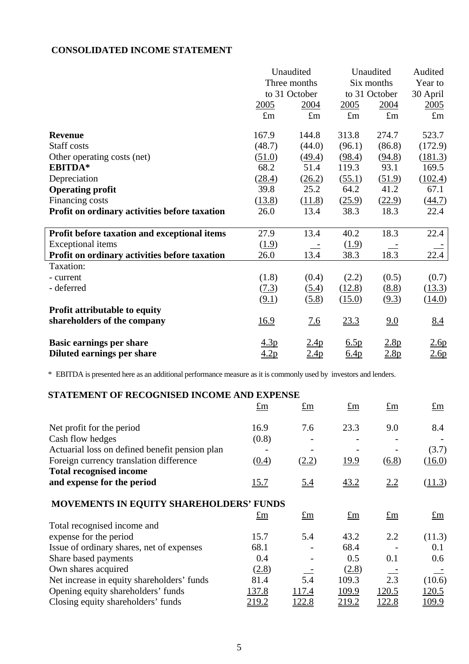## **CONSOLIDATED INCOME STATEMENT**

|                                               | Unaudited<br>Unaudited |                   |             | Audited          |                   |
|-----------------------------------------------|------------------------|-------------------|-------------|------------------|-------------------|
|                                               |                        | Three months      |             | Six months       |                   |
|                                               |                        | to 31 October     |             | to 31 October    | 30 April          |
|                                               | 2005                   | 2004              | 2005        | 2004             | <u>2005</u>       |
|                                               | $\pounds$ m            | $\pounds$ m       | $\pounds$ m | $\pounds$ m      | $\pounds$ m       |
| <b>Revenue</b>                                | 167.9                  | 144.8             | 313.8       | 274.7            | 523.7             |
| Staff costs                                   | (48.7)                 | (44.0)            | (96.1)      | (86.8)           | (172.9)           |
| Other operating costs (net)                   | (51.0)                 | (49.4)            | (98.4)      | (94.8)           | (181.3)           |
| EBITDA*                                       | 68.2                   | 51.4              | 119.3       | 93.1             | 169.5             |
| Depreciation                                  | (28.4)                 | (26.2)            | (55.1)      | (51.9)           | (102.4)           |
| <b>Operating profit</b>                       | 39.8                   | 25.2              | 64.2        | 41.2             | 67.1              |
| Financing costs                               | (13.8)                 | (11.8)            | (25.9)      | (22.9)           | (44.7)            |
| Profit on ordinary activities before taxation | 26.0                   | 13.4              | 38.3        | 18.3             | 22.4              |
|                                               |                        |                   |             |                  |                   |
| Profit before taxation and exceptional items  | 27.9                   | 13.4              | 40.2        | 18.3             | 22.4              |
| Exceptional items                             | (1.9)                  |                   | (1.9)       |                  |                   |
| Profit on ordinary activities before taxation | 26.0                   | 13.4              | 38.3        | 18.3             | 22.4              |
| Taxation:                                     |                        |                   |             |                  |                   |
| - current                                     | (1.8)                  | (0.4)             | (2.2)       | (0.5)            | (0.7)             |
| - deferred                                    | (7.3)                  | (5.4)             | (12.8)      | (8.8)            | (13.3)            |
|                                               | (9.1)                  | (5.8)             | (15.0)      | (9.3)            | (14.0)            |
| Profit attributable to equity                 |                        |                   |             |                  |                   |
| shareholders of the company                   | 16.9                   | $\underline{7.6}$ | 23.3        | 9.0              | $\underline{8.4}$ |
| <b>Basic earnings per share</b>               | 4.3 <sub>p</sub>       | <u>2.4p</u>       | 6.5p        | 2.8p             | 2.6p              |
| Diluted earnings per share                    | 4.2p                   | 2.4p              | 6.4p        | 2.8 <sub>p</sub> | 2.6p              |
|                                               |                        |                   |             |                  |                   |

\* EBITDA is presented here as an additional performance measure as it is commonly used by investors and lenders.

| STATEMENT OF RECOGNISED INCOME AND EXPENSE     |             |             |             |             |             |
|------------------------------------------------|-------------|-------------|-------------|-------------|-------------|
|                                                | $\pounds$ m | $\pounds$ m | $\pm$ m     | $\pm$ m     | $\pm m$     |
| Net profit for the period                      | 16.9        | 7.6         | 23.3        | 9.0         | 8.4         |
| Cash flow hedges                               | (0.8)       |             |             |             |             |
| Actuarial loss on defined benefit pension plan |             |             |             |             | (3.7)       |
| Foreign currency translation difference        | (0.4)       | (2.2)       | <u>19.9</u> | (6.8)       | (16.0)      |
| <b>Total recognised income</b>                 |             |             |             |             |             |
| and expense for the period                     | 15.7        | 5.4         | <u>43.2</u> | 2.2         | (11.3)      |
| MOVEMENTS IN EQUITY SHAREHOLDERS' FUNDS        |             |             |             |             |             |
|                                                | $\pounds$ m | $\pounds$ m | $\pounds$ m | $\pounds$ m | $\pounds$ m |
| Total recognised income and                    |             |             |             |             |             |
| expense for the period                         | 15.7        | 5.4         | 43.2        | 2.2         | (11.3)      |
| Issue of ordinary shares, net of expenses      | 68.1        |             | 68.4        |             | 0.1         |
| Share based payments                           | 0.4         |             | 0.5         | 0.1         | 0.6         |
| Own shares acquired                            | (2.8)       |             | (2.8)       |             |             |
| Net increase in equity shareholders' funds     | 81.4        | 5.4         | 109.3       | 2.3         | (10.6)      |
| Opening equity shareholders' funds             | 137.8       | 117.4       | 109.9       | 120.5       | 120.5       |
| Closing equity shareholders' funds             | 219.2       | 122.8       | 219.2       | 122.8       | 109.9       |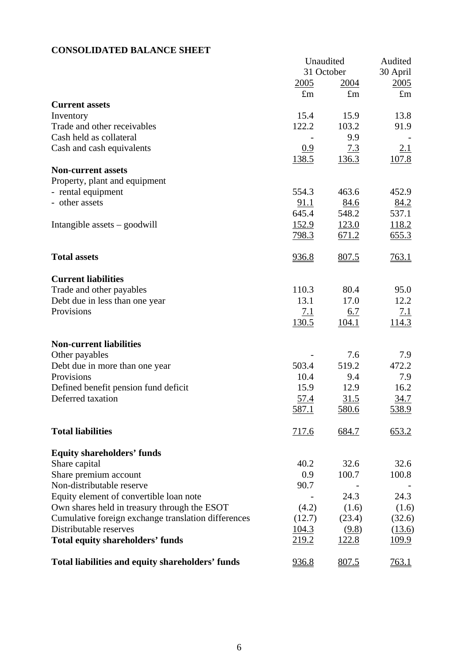## **CONSOLIDATED BALANCE SHEET**

|                                                     | Unaudited    |              | Audited      |
|-----------------------------------------------------|--------------|--------------|--------------|
|                                                     | 31 October   |              | 30 April     |
|                                                     | 2005         | <u>2004</u>  | 2005         |
|                                                     | $\pounds$ m  | $\pounds$ m  | $\pounds$ m  |
| <b>Current assets</b>                               |              |              |              |
| Inventory                                           | 15.4         | 15.9         | 13.8         |
| Trade and other receivables                         | 122.2        | 103.2        | 91.9         |
| Cash held as collateral                             |              | 9.9          |              |
| Cash and cash equivalents                           | 0.9          | 7.3          | 2.1          |
|                                                     | <u>138.5</u> | <u>136.3</u> | 107.8        |
| <b>Non-current assets</b>                           |              |              |              |
| Property, plant and equipment                       |              |              |              |
| - rental equipment                                  | 554.3        | 463.6        | 452.9        |
| - other assets                                      | 91.1         | 84.6         | <u>84.2</u>  |
|                                                     | 645.4        | 548.2        | 537.1        |
| Intangible assets $-$ goodwill                      | <u>152.9</u> | <u>123.0</u> | 118.2        |
|                                                     | 798.3        | 671.2        | 655.3        |
|                                                     |              |              |              |
| <b>Total assets</b>                                 | <u>936.8</u> | 807.5        | 763.1        |
|                                                     |              |              |              |
| <b>Current liabilities</b>                          |              |              |              |
| Trade and other payables                            | 110.3        | 80.4         | 95.0         |
| Debt due in less than one year                      | 13.1         | 17.0         | 12.2         |
| Provisions                                          | 7.1          | 6.7          | 7.1          |
|                                                     | <u>130.5</u> | <u>104.1</u> | 114.3        |
|                                                     |              |              |              |
| <b>Non-current liabilities</b>                      |              |              |              |
| Other payables                                      |              | 7.6          | 7.9          |
| Debt due in more than one year                      | 503.4        | 519.2        | 472.2        |
| Provisions                                          | 10.4         | 9.4          | 7.9          |
| Defined benefit pension fund deficit                | 15.9         | 12.9         | 16.2         |
| Deferred taxation                                   | 57.4         | 31.5         | 34.7         |
|                                                     | 587.1        | <u>580.6</u> | 538.9        |
|                                                     |              |              |              |
| <b>Total liabilities</b>                            | 717.6        | 684.7        | 653.2        |
|                                                     |              |              |              |
| <b>Equity shareholders' funds</b>                   |              |              |              |
| Share capital                                       | 40.2         | 32.6         | 32.6         |
| Share premium account                               | 0.9          | 100.7        | 100.8        |
| Non-distributable reserve                           | 90.7         |              |              |
| Equity element of convertible loan note             |              | 24.3         | 24.3         |
| Own shares held in treasury through the ESOT        | (4.2)        | (1.6)        | (1.6)        |
| Cumulative foreign exchange translation differences | (12.7)       | (23.4)       | (32.6)       |
| Distributable reserves                              | 104.3        |              |              |
|                                                     |              | (9.8)        | (13.6)       |
| <b>Total equity shareholders' funds</b>             | 219.2        | <u>122.8</u> | <u>109.9</u> |
| Total liabilities and equity shareholders' funds    | 936.8        | 807.5        | 763.1        |
|                                                     |              |              |              |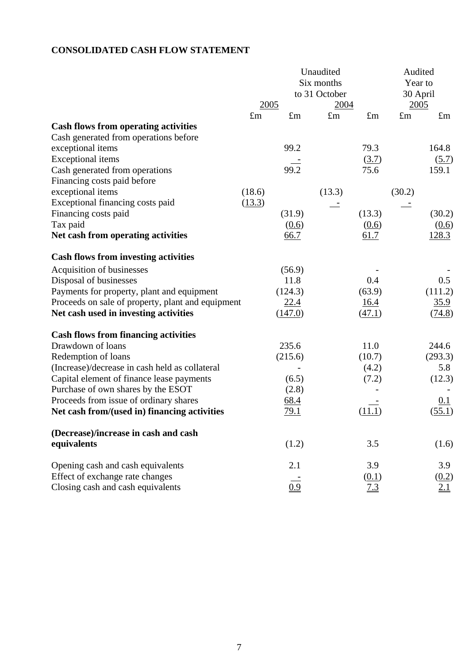# **CONSOLIDATED CASH FLOW STATEMENT**

|                                                               | Unaudited<br>Six months<br>to 31 October |             |             |               | Audited<br>Year to<br>30 April |             |
|---------------------------------------------------------------|------------------------------------------|-------------|-------------|---------------|--------------------------------|-------------|
|                                                               | 2005                                     |             | 2004        |               | 2005                           |             |
|                                                               | $\pounds$ m                              | $\pounds$ m | $\pounds$ m | $\pounds$ m   | $\pounds$ m                    | $\pounds$ m |
| <b>Cash flows from operating activities</b>                   |                                          |             |             |               |                                |             |
| Cash generated from operations before                         |                                          |             |             |               |                                |             |
| exceptional items                                             |                                          | 99.2        |             | 79.3          |                                | 164.8       |
| <b>Exceptional</b> items                                      |                                          | 99.2        |             | (3.7)<br>75.6 |                                | (5.7)       |
| Cash generated from operations<br>Financing costs paid before |                                          |             |             |               |                                | 159.1       |
| exceptional items                                             | (18.6)                                   |             | (13.3)      |               | (30.2)                         |             |
| Exceptional financing costs paid                              | (13.3)                                   |             |             |               |                                |             |
| Financing costs paid                                          |                                          | (31.9)      |             | (13.3)        |                                | (30.2)      |
| Tax paid                                                      |                                          | (0.6)       |             | (0.6)         |                                | (0.6)       |
| Net cash from operating activities                            |                                          | <u>66.7</u> |             | 61.7          |                                | 128.3       |
|                                                               |                                          |             |             |               |                                |             |
| <b>Cash flows from investing activities</b>                   |                                          |             |             |               |                                |             |
| Acquisition of businesses                                     |                                          | (56.9)      |             |               |                                |             |
| Disposal of businesses                                        |                                          | 11.8        |             | 0.4           |                                | 0.5         |
| Payments for property, plant and equipment                    |                                          | (124.3)     |             | (63.9)        |                                | (111.2)     |
| Proceeds on sale of property, plant and equipment             |                                          | 22.4        |             | 16.4          |                                | 35.9        |
| Net cash used in investing activities                         |                                          | (147.0)     |             | (47.1)        |                                | (74.8)      |
|                                                               |                                          |             |             |               |                                |             |
| <b>Cash flows from financing activities</b>                   |                                          |             |             |               |                                |             |
| Drawdown of loans                                             |                                          | 235.6       |             | 11.0          |                                | 244.6       |
| Redemption of loans                                           |                                          | (215.6)     |             | (10.7)        |                                | (293.3)     |
| (Increase)/decrease in cash held as collateral                |                                          |             |             | (4.2)         |                                | 5.8         |
| Capital element of finance lease payments                     |                                          | (6.5)       |             | (7.2)         |                                | (12.3)      |
| Purchase of own shares by the ESOT                            |                                          | (2.8)       |             |               |                                |             |
| Proceeds from issue of ordinary shares                        |                                          | 68.4        |             |               |                                | 0.1         |
| Net cash from/(used in) financing activities                  |                                          | <u>79.1</u> |             | (11.1)        |                                | (55.1)      |
| (Decrease)/increase in cash and cash                          |                                          |             |             |               |                                |             |
| equivalents                                                   |                                          | (1.2)       |             | 3.5           |                                | (1.6)       |
|                                                               |                                          |             |             |               |                                |             |
| Opening cash and cash equivalents                             |                                          | 2.1         |             | 3.9           |                                | 3.9         |
| Effect of exchange rate changes                               |                                          |             |             | (0.1)         |                                | (0.2)       |
| Closing cash and cash equivalents                             |                                          | 0.9         |             | 7.3           |                                | <u>2.1</u>  |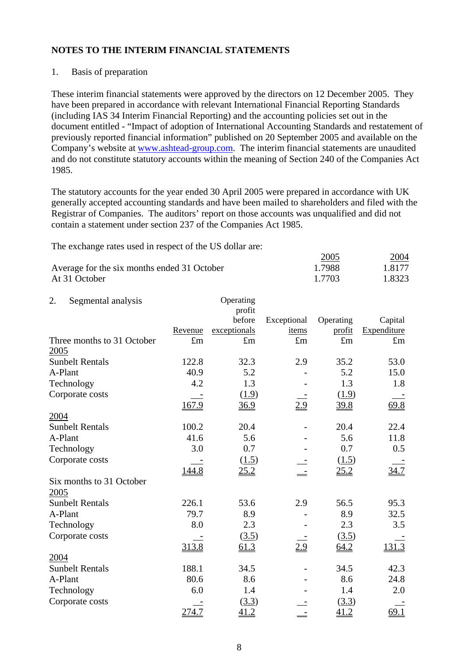### 1. Basis of preparation

These interim financial statements were approved by the directors on 12 December 2005. They have been prepared in accordance with relevant International Financial Reporting Standards (including IAS 34 Interim Financial Reporting) and the accounting policies set out in the document entitled - "Impact of adoption of International Accounting Standards and restatement of previously reported financial information" published on 20 September 2005 and available on the Company's website at [www.ashtead-group.com.](http://www.ashtead-group.com/) The interim financial statements are unaudited and do not constitute statutory accounts within the meaning of Section 240 of the Companies Act 1985.

The statutory accounts for the year ended 30 April 2005 were prepared in accordance with UK generally accepted accounting standards and have been mailed to shareholders and filed with the Registrar of Companies. The auditors' report on those accounts was unqualified and did not contain a statement under section 237 of the Companies Act 1985.

The exchange rates used in respect of the US dollar are:

|                                             | 2005   | <u>2004</u> |
|---------------------------------------------|--------|-------------|
| Average for the six months ended 31 October | 1.7988 | 1.8177      |
| At 31 October                               | 1.7703 | 1.8323      |

| 2.      | Segmental analysis         |             | Operating    |             |             |             |
|---------|----------------------------|-------------|--------------|-------------|-------------|-------------|
|         |                            |             | profit       |             |             |             |
|         |                            |             | before       | Exceptional | Operating   | Capital     |
|         |                            | Revenue     | exceptionals | items       | profit      | Expenditure |
|         | Three months to 31 October | $\pounds$ m | $\pounds$ m  | $\pounds$ m | $\pounds$ m | $\pounds$ m |
| 2005    |                            |             |              |             |             |             |
|         | <b>Sunbelt Rentals</b>     | 122.8       | 32.3         | 2.9         | 35.2        | 53.0        |
| A-Plant |                            | 40.9        | 5.2          |             | 5.2         | 15.0        |
|         | Technology                 | 4.2         | 1.3          |             | 1.3         | 1.8         |
|         | Corporate costs            |             | (1.9)        |             | (1.9)       |             |
|         |                            | 167.9       | 36.9         | 2.9         | 39.8        | 69.8        |
| 2004    |                            |             |              |             |             |             |
|         | <b>Sunbelt Rentals</b>     | 100.2       | 20.4         |             | 20.4        | 22.4        |
| A-Plant |                            | 41.6        | 5.6          |             | 5.6         | 11.8        |
|         | Technology                 | 3.0         | 0.7          |             | 0.7         | 0.5         |
|         | Corporate costs            |             | (1.5)        |             | (1.5)       |             |
|         |                            | 144.8       | 25.2         |             | 25.2        | 34.7        |
|         | Six months to 31 October   |             |              |             |             |             |
| 2005    |                            |             |              |             |             |             |
|         | <b>Sunbelt Rentals</b>     | 226.1       | 53.6         | 2.9         | 56.5        | 95.3        |
| A-Plant |                            | 79.7        | 8.9          |             | 8.9         | 32.5        |
|         | Technology                 | 8.0         | 2.3          |             | 2.3         | 3.5         |
|         | Corporate costs            |             | (3.5)        |             | (3.5)       |             |
|         |                            | 313.8       | 61.3         | 2.9         | 64.2        | 131.3       |
| 2004    |                            |             |              |             |             |             |
|         | <b>Sunbelt Rentals</b>     | 188.1       | 34.5         |             | 34.5        | 42.3        |
| A-Plant |                            | 80.6        | 8.6          |             | 8.6         | 24.8        |
|         | Technology                 | 6.0         | 1.4          |             | 1.4         | 2.0         |
|         | Corporate costs            |             | (3.3)        |             | (3.3)       |             |
|         |                            | 274.7       | 41.2         |             | 41.2        | 69.1        |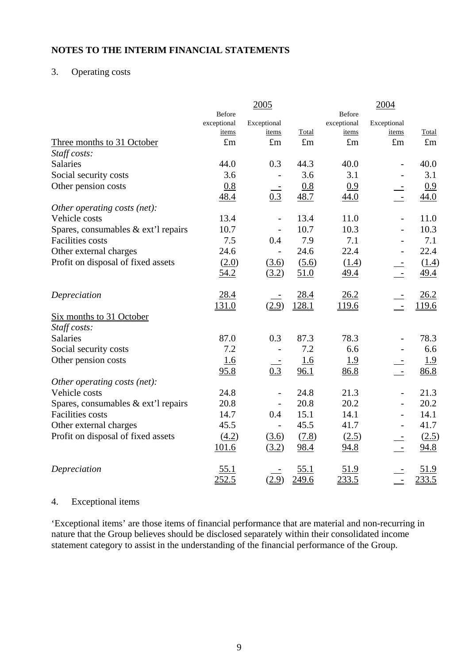## 3. Operating costs

|                                     |             | 2005                     |             |               | 2004                     |             |
|-------------------------------------|-------------|--------------------------|-------------|---------------|--------------------------|-------------|
|                                     | Before      |                          |             | <b>Before</b> |                          |             |
|                                     | exceptional | Exceptional              |             | exceptional   | Exceptional              |             |
|                                     | items       | items                    | Total       | items         | items                    | Total       |
| Three months to 31 October          | $\pounds$ m | $\pounds$ m              | $\pounds$ m | $\pounds$ m   | $\pounds$ m              | $\pounds$ m |
| Staff costs:                        |             |                          |             |               |                          |             |
| Salaries                            | 44.0        | 0.3                      | 44.3        | 40.0          |                          | 40.0        |
| Social security costs               | 3.6         |                          | 3.6         | 3.1           |                          | 3.1         |
| Other pension costs                 | 0.8         |                          | 0.8         | 0.9           |                          | 0.9         |
|                                     | 48.4        | 0.3                      | 48.7        | 44.0          | $\equiv$                 | 44.0        |
| Other operating costs (net):        |             |                          |             |               |                          |             |
| Vehicle costs                       | 13.4        | $\qquad \qquad -$        | 13.4        | 11.0          |                          | 11.0        |
| Spares, consumables & ext'l repairs | 10.7        | $\overline{\phantom{a}}$ | 10.7        | 10.3          |                          | 10.3        |
| <b>Facilities</b> costs             | 7.5         | 0.4                      | 7.9         | 7.1           |                          | 7.1         |
| Other external charges              | 24.6        |                          | 24.6        | 22.4          |                          | 22.4        |
| Profit on disposal of fixed assets  | (2.0)       | (3.6)                    | (5.6)       | (1.4)         |                          | (1.4)       |
|                                     | 54.2        | (3.2)                    | 51.0        | 49.4          |                          | <u>49.4</u> |
| Depreciation                        | 28.4        |                          | 28.4        | 26.2          |                          | 26.2        |
|                                     | 131.0       | (2.9)                    | 128.1       | <u>119.6</u>  | $\equiv$                 | 119.6       |
| Six months to 31 October            |             |                          |             |               |                          |             |
| Staff costs:                        |             |                          |             |               |                          |             |
| <b>Salaries</b>                     | 87.0        | 0.3                      | 87.3        | 78.3          |                          | 78.3        |
| Social security costs               | 7.2         |                          | 7.2         | 6.6           |                          | 6.6         |
| Other pension costs                 | <u>1.6</u>  |                          | 1.6         | <u>1.9</u>    |                          | <u>1.9</u>  |
|                                     | 95.8        | 0.3                      | 96.1        | 86.8          | $\frac{1}{\sqrt{2}}$     | 86.8        |
| Other operating costs (net):        |             |                          |             |               |                          |             |
| Vehicle costs                       | 24.8        | $\overline{\phantom{0}}$ | 24.8        | 21.3          | $\overline{\phantom{a}}$ | 21.3        |
| Spares, consumables & ext'l repairs | 20.8        |                          | 20.8        | 20.2          | $\qquad \qquad -$        | 20.2        |
| <b>Facilities</b> costs             | 14.7        | 0.4                      | 15.1        | 14.1          |                          | 14.1        |
| Other external charges              | 45.5        |                          | 45.5        | 41.7          |                          | 41.7        |
| Profit on disposal of fixed assets  | (4.2)       | (3.6)                    | (7.8)       | (2.5)         |                          | (2.5)       |
|                                     | 101.6       | (3.2)                    | 98.4        | 94.8          | $\pm$                    | 94.8        |
|                                     |             |                          |             |               |                          |             |
| Depreciation                        | 55.1        |                          | 55.1        | <u>51.9</u>   |                          | 51.9        |
|                                     | 252.5       | (2.9)                    | 249.6       | 233.5         |                          | 233.5       |

## 4. Exceptional items

'Exceptional items' are those items of financial performance that are material and non-recurring in nature that the Group believes should be disclosed separately within their consolidated income statement category to assist in the understanding of the financial performance of the Group.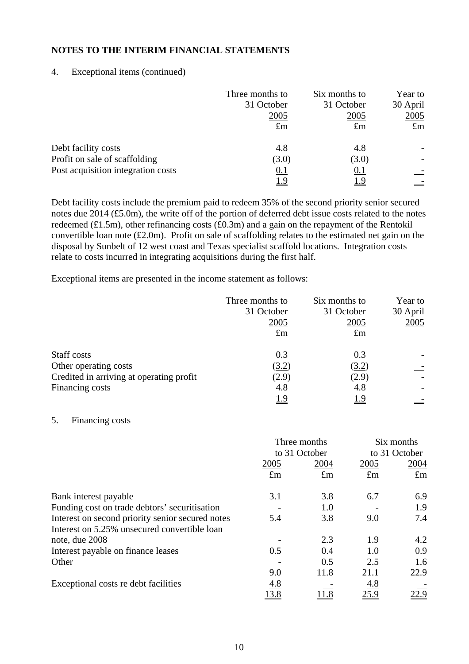### 4. Exceptional items (continued)

|                                    | Three months to<br>31 October<br>2005 | Six months to<br>31 October<br>2005 | Year to<br>30 April<br>2005 |
|------------------------------------|---------------------------------------|-------------------------------------|-----------------------------|
|                                    | $\pounds$ m                           | $\pounds$ m                         | $\pounds$ m                 |
| Debt facility costs                | 4.8                                   | 4.8                                 |                             |
| Profit on sale of scaffolding      | (3.0)                                 | (3.0)                               |                             |
| Post acquisition integration costs | <u>0.1</u>                            | 0.1                                 |                             |
|                                    | <u> 1.9</u>                           | <u> 1.9</u>                         |                             |

Debt facility costs include the premium paid to redeem 35% of the second priority senior secured notes due 2014 (£5.0m), the write off of the portion of deferred debt issue costs related to the notes redeemed (£1.5m), other refinancing costs (£0.3m) and a gain on the repayment of the Rentokil convertible loan note (£2.0m). Profit on sale of scaffolding relates to the estimated net gain on the disposal by Sunbelt of 12 west coast and Texas specialist scaffold locations. Integration costs relate to costs incurred in integrating acquisitions during the first half.

Exceptional items are presented in the income statement as follows:

|                                          | Three months to | Six months to | Year to  |
|------------------------------------------|-----------------|---------------|----------|
|                                          | 31 October      | 31 October    | 30 April |
|                                          | 2005            | 2005          | 2005     |
|                                          | $\pounds$ m     | $\pounds$ m   |          |
| Staff costs                              | 0.3             | 0.3           |          |
| Other operating costs                    | (3.2)           | (3.2)         |          |
| Credited in arriving at operating profit | (2.9)           | (2.9)         |          |
| Financing costs                          | <u>4.8</u>      | 4.8           |          |
|                                          | 1.9             | <u>1.9</u>    |          |

### 5. Financing costs

|                                                  |             | Three months<br>to 31 October |             | Six months<br>to 31 October |
|--------------------------------------------------|-------------|-------------------------------|-------------|-----------------------------|
|                                                  | 2005        | 2004                          | 2005        | 2004                        |
|                                                  | $\pounds$ m | $\pounds$ m                   | $\pounds$ m | $\pounds$ m                 |
| Bank interest payable                            | 3.1         | 3.8                           | 6.7         | 6.9                         |
| Funding cost on trade debtors' securitisation    |             | 1.0                           |             | 1.9                         |
| Interest on second priority senior secured notes | 5.4         | 3.8                           | 9.0         | 7.4                         |
| Interest on 5.25% unsecured convertible loan     |             |                               |             |                             |
| note, due 2008                                   |             | 2.3                           | 1.9         | 4.2                         |
| Interest payable on finance leases               | 0.5         | 0.4                           | 1.0         | 0.9                         |
| Other                                            |             | 0.5                           | 2.5         | <u>1.6</u>                  |
|                                                  | 9.0         | 11.8                          | 21.1        | 22.9                        |
| Exceptional costs re debt facilities             | 4.8         |                               | 4.8         |                             |
|                                                  | 13.8        | 11.8                          | 25.9        | 22.9                        |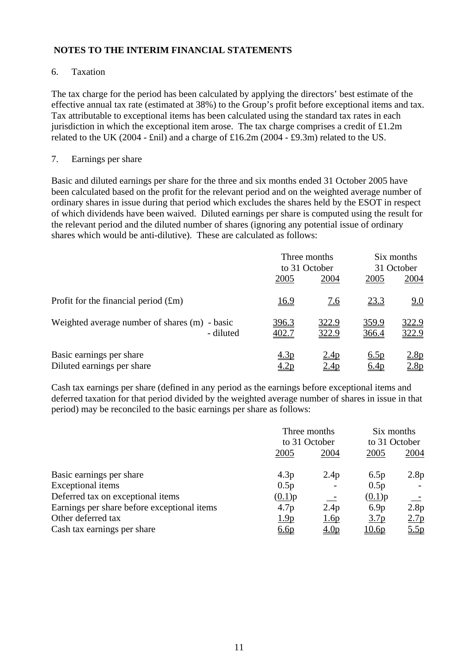### 6. Taxation

The tax charge for the period has been calculated by applying the directors' best estimate of the effective annual tax rate (estimated at 38%) to the Group's profit before exceptional items and tax. Tax attributable to exceptional items has been calculated using the standard tax rates in each jurisdiction in which the exceptional item arose. The tax charge comprises a credit of  $£1.2m$ related to the UK (2004 - £nil) and a charge of £16.2m (2004 - £9.3m) related to the US.

#### 7. Earnings per share

Basic and diluted earnings per share for the three and six months ended 31 October 2005 have been calculated based on the profit for the relevant period and on the weighted average number of ordinary shares in issue during that period which excludes the shares held by the ESOT in respect of which dividends have been waived. Diluted earnings per share is computed using the result for the relevant period and the diluted number of shares (ignoring any potential issue of ordinary shares which would be anti-dilutive). These are calculated as follows:

|                                                            | Three months<br>to 31 October |                                 | Six months<br>31 October |                       |
|------------------------------------------------------------|-------------------------------|---------------------------------|--------------------------|-----------------------|
|                                                            | 2005                          | 2004                            | 2005                     | 2004                  |
| Profit for the financial period $(fm)$                     | <u>16.9</u>                   | <u>7.6</u>                      | <u>23.3</u>              | <u>9.0</u>            |
| Weighted average number of shares (m) - basic<br>- diluted | 396.3<br>402.7                | 322.9<br>322.9                  | 359.9<br>366.4           | <u>322.9</u><br>322.9 |
| Basic earnings per share<br>Diluted earnings per share     | <u>4.3p</u>                   | 2.4 <sub>p</sub><br><u>2.4p</u> | 6.5p<br><u>6.4p</u>      | 2.8p<br>2.8p          |

Cash tax earnings per share (defined in any period as the earnings before exceptional items and deferred taxation for that period divided by the weighted average number of shares in issue in that period) may be reconciled to the basic earnings per share as follows:

|                                             | Three months                  |                          | Six months                    |                  |
|---------------------------------------------|-------------------------------|--------------------------|-------------------------------|------------------|
|                                             | to 31 October<br>2005<br>2004 |                          | to 31 October<br>2004<br>2005 |                  |
|                                             |                               |                          |                               |                  |
| Basic earnings per share                    | 4.3p                          | 2.4p                     | 6.5p                          | 2.8p             |
| <b>Exceptional</b> items                    | 0.5p                          | $\overline{\phantom{a}}$ | 0.5p                          |                  |
| Deferred tax on exceptional items           | (0.1)p                        | $\sim$ $-$               | (0.1)p                        |                  |
| Earnings per share before exceptional items | 4.7p                          | 2.4p                     | 6.9p                          | 2.8p             |
| Other deferred tax                          | 1.9 <sub>p</sub>              | 1.6p                     | 3.7 <sub>p</sub>              | 2.7 <sub>p</sub> |
| Cash tax earnings per share                 | <u>6.6p</u>                   | 4.0 <sub>p</sub>         | 10.6p                         | <u>5.5p</u>      |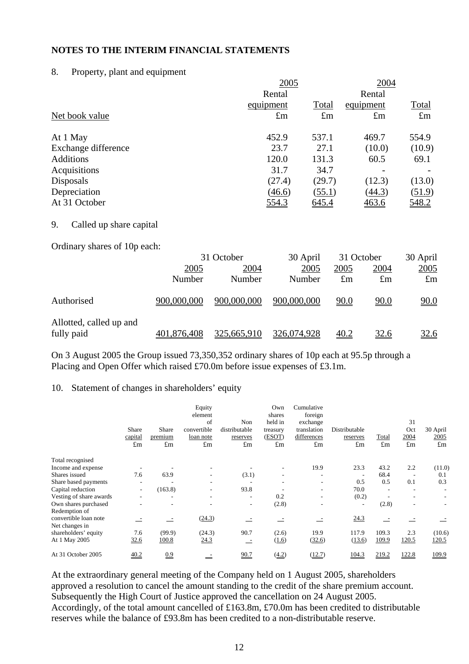#### 8. Property, plant and equipment

|                     | 2005        | 2004         |             |              |
|---------------------|-------------|--------------|-------------|--------------|
|                     | Rental      |              | Rental      |              |
|                     | equipment   | <b>Total</b> | equipment   | <b>Total</b> |
| Net book value      | $\pounds$ m | $\pounds$ m  | $\pounds$ m | $\pounds$ m  |
| At 1 May            | 452.9       | 537.1        | 469.7       | 554.9        |
| Exchange difference | 23.7        | 27.1         | (10.0)      | (10.9)       |
| <b>Additions</b>    | 120.0       | 131.3        | 60.5        | 69.1         |
| Acquisitions        | 31.7        | 34.7         |             |              |
| Disposals           | (27.4)      | (29.7)       | (12.3)      | (13.0)       |
| Depreciation        | (46.6)      | (55.1)       | (44.3)      | (51.9)       |
| At 31 October       | 554.3       | 645.4        | 463.6       | 548.2        |

#### 9. Called up share capital

Ordinary shares of 10p each:

|                                       | 31 October     |                | 30 April       | 31 October          |                     | 30 April                   |  |
|---------------------------------------|----------------|----------------|----------------|---------------------|---------------------|----------------------------|--|
|                                       | 2005<br>Number | 2004<br>Number | 2005<br>Number | 2005<br>$\pounds$ m | 2004<br>$\pounds$ m | <u>2005</u><br>$\pounds$ m |  |
| Authorised                            | 900,000,000    | 900,000,000    | 900,000,000    | <u>90.0</u>         | <u>90.0</u>         | 90.0                       |  |
| Allotted, called up and<br>fully paid | 401,876,408    | 325,665,910    | 326,074,928    | 40.2                | <u>32.6</u>         | <u>32.6</u>                |  |

On 3 August 2005 the Group issued 73,350,352 ordinary shares of 10p each at 95.5p through a Placing and Open Offer which raised £70.0m before issue expenses of £3.1m.

#### 10. Statement of changes in shareholders' equity

|                         |                                 |                                 | Equity<br>element<br>of                 | Non                                      | Own<br>shares<br>held in          | Cumulative<br>foreign<br>exchange         |                                          |                      | 31                         |                                 |
|-------------------------|---------------------------------|---------------------------------|-----------------------------------------|------------------------------------------|-----------------------------------|-------------------------------------------|------------------------------------------|----------------------|----------------------------|---------------------------------|
|                         | Share<br>capital<br>$\pounds$ m | Share<br>premium<br>$\pounds$ m | convertible<br>loan note<br>$\pounds$ m | distributable<br>reserves<br>$\pounds$ m | treasury<br>(ESOT)<br>$\pounds$ m | translation<br>differences<br>$\pounds$ m | Distributable<br>reserves<br>$\pounds$ m | Total<br>$\pounds$ m | Oct<br>2004<br>$\pounds$ m | 30 April<br>2005<br>$\pounds$ m |
| Total recognised        |                                 |                                 |                                         |                                          |                                   |                                           |                                          |                      |                            |                                 |
| Income and expense      |                                 |                                 |                                         |                                          |                                   | 19.9                                      | 23.3                                     | 43.2                 | 2.2                        | (11.0)                          |
| Shares issued           | 7.6                             | 63.9                            |                                         | (3.1)                                    |                                   |                                           |                                          | 68.4                 |                            | 0.1                             |
| Share based payments    |                                 |                                 |                                         |                                          |                                   |                                           | 0.5                                      | 0.5                  | 0.1                        | 0.3                             |
| Capital reduction       | ٠.                              | (163.8)                         | ٠                                       | 93.8                                     |                                   |                                           | 70.0                                     |                      | ٠                          |                                 |
| Vesting of share awards | ۰                               | ٠                               | ۰                                       | ٠                                        | 0.2                               |                                           | (0.2)                                    |                      | ٠                          |                                 |
| Own shares purchased    |                                 |                                 |                                         | ٠                                        | (2.8)                             |                                           | $\overline{\phantom{a}}$                 | (2.8)                | ۰                          |                                 |
| Redemption of           |                                 |                                 |                                         |                                          |                                   |                                           |                                          |                      |                            |                                 |
| convertible loan note   |                                 | $\overline{\phantom{a}}$        | (24.3)                                  |                                          |                                   |                                           | 24.3                                     |                      |                            |                                 |
| Net changes in          |                                 |                                 |                                         |                                          |                                   |                                           |                                          |                      |                            |                                 |
| shareholders' equity    | 7.6                             | (99.9)                          | (24.3)                                  | 90.7                                     | (2.6)                             | 19.9                                      | 117.9                                    | 109.3                | 2.3                        | (10.6)                          |
| At 1 May 2005           | 32.6                            | 100.8                           | 24.3                                    | $\sim$                                   | (1.6)                             | (32.6)                                    | (13.6)                                   | 109.9                | 120.5                      | 120.5                           |
| At 31 October 2005      | 40.2                            | 0.9                             | $\overline{\phantom{a}}$                | 90.7                                     | (4.2)                             | (12.7)                                    | 104.3                                    | 219.2                | 122.8                      | 109.9                           |

At the extraordinary general meeting of the Company held on 1 August 2005, shareholders approved a resolution to cancel the amount standing to the credit of the share premium account. Subsequently the High Court of Justice approved the cancellation on 24 August 2005. Accordingly, of the total amount cancelled of £163.8m, £70.0m has been credited to distributable reserves while the balance of £93.8m has been credited to a non-distributable reserve.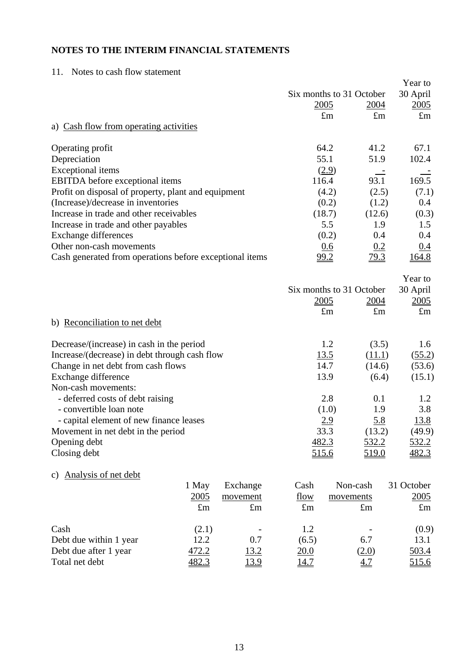## 11. Notes to cash flow statement

|                                                         |             |             |                          |             |                   | Year to      |
|---------------------------------------------------------|-------------|-------------|--------------------------|-------------|-------------------|--------------|
|                                                         |             |             | Six months to 31 October |             |                   | 30 April     |
|                                                         |             |             |                          | 2005        | <u>2004</u>       | 2005         |
|                                                         |             |             |                          | $\pounds$ m | $\pounds$ m       | $\pounds$ m  |
| a) Cash flow from operating activities                  |             |             |                          |             |                   |              |
| Operating profit                                        |             |             |                          | 64.2        | 41.2              | 67.1         |
| Depreciation                                            |             |             |                          | 55.1        | 51.9              | 102.4        |
| <b>Exceptional</b> items                                |             |             |                          | (2.9)       |                   |              |
| <b>EBITDA</b> before exceptional items                  |             |             |                          | 116.4       | 93.1              | 169.5        |
| Profit on disposal of property, plant and equipment     |             |             |                          | (4.2)       | (2.5)             | (7.1)        |
| (Increase)/decrease in inventories                      |             |             |                          | (0.2)       | (1.2)             | 0.4          |
| Increase in trade and other receivables                 |             |             |                          | (18.7)      | (12.6)            | (0.3)        |
| Increase in trade and other payables                    |             |             |                          | 5.5         | 1.9               | 1.5          |
| <b>Exchange differences</b>                             |             |             |                          | (0.2)       | 0.4               | 0.4          |
| Other non-cash movements                                |             |             |                          | 0.6         | 0.2               | 0.4          |
| Cash generated from operations before exceptional items |             |             |                          | 99.2        | 79.3              | 164.8        |
|                                                         |             |             |                          |             |                   | Year to      |
|                                                         |             |             | Six months to 31 October |             |                   | 30 April     |
|                                                         |             |             |                          | 2005        | 2004              | 2005         |
|                                                         |             |             |                          | $\pounds$ m | $\pounds$ m       | $\pounds$ m  |
| b) Reconciliation to net debt                           |             |             |                          |             |                   |              |
| Decrease/(increase) in cash in the period               |             |             |                          | 1.2         | (3.5)             | 1.6          |
| Increase/(decrease) in debt through cash flow           |             |             |                          | 13.5        | (11.1)            | (55.2)       |
| Change in net debt from cash flows                      |             |             |                          | 14.7        | (14.6)            | (53.6)       |
| Exchange difference                                     |             |             |                          | 13.9        | (6.4)             | (15.1)       |
| Non-cash movements:                                     |             |             |                          |             |                   |              |
| - deferred costs of debt raising                        |             |             |                          | 2.8         | 0.1               | 1.2          |
| - convertible loan note                                 |             |             |                          | (1.0)       | 1.9               | 3.8          |
| - capital element of new finance leases                 |             |             |                          | <u>2.9</u>  | <u>5.8</u>        | <u>13.8</u>  |
| Movement in net debt in the period                      |             |             |                          | 33.3        | (13.2)            | (49.9)       |
| Opening debt                                            |             |             | 482.3                    |             | 532.2             | <u>532.2</u> |
| Closing debt                                            |             |             |                          | 515.6       | 519.0             | 482.3        |
| Analysis of net debt<br>C)                              |             |             |                          |             |                   |              |
|                                                         | 1 May       | Exchange    | Cash                     | Non-cash    |                   | 31 October   |
|                                                         | 2005        | movement    | flow                     | movements   |                   | 2005         |
|                                                         | $\pounds$ m | $\pounds$ m | $\pounds$ m              |             | $\pounds$ m       | $\pounds$ m  |
| Cash                                                    | (2.1)       |             | 1.2                      |             |                   | (0.9)        |
| Debt due within 1 year                                  | 12.2        | 0.7         | (6.5)                    |             | 6.7               | 13.1         |
| Debt due after 1 year                                   | 472.2       | <u>13.2</u> | 20.0                     |             | (2.0)             | 503.4        |
| Total net debt                                          | 482.3       | <u>13.9</u> | 14.7                     |             | $\underline{4.7}$ | 515.6        |
|                                                         |             |             |                          |             |                   |              |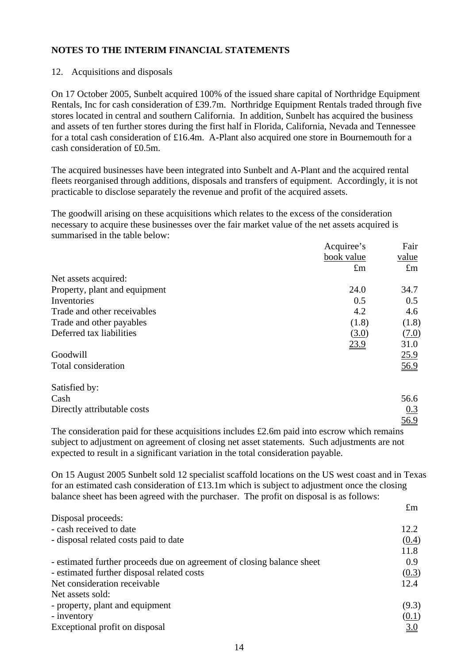### 12. Acquisitions and disposals

On 17 October 2005, Sunbelt acquired 100% of the issued share capital of Northridge Equipment Rentals, Inc for cash consideration of £39.7m. Northridge Equipment Rentals traded through five stores located in central and southern California. In addition, Sunbelt has acquired the business and assets of ten further stores during the first half in Florida, California, Nevada and Tennessee for a total cash consideration of £16.4m. A-Plant also acquired one store in Bournemouth for a cash consideration of £0.5m.

The acquired businesses have been integrated into Sunbelt and A-Plant and the acquired rental fleets reorganised through additions, disposals and transfers of equipment. Accordingly, it is not practicable to disclose separately the revenue and profit of the acquired assets.

The goodwill arising on these acquisitions which relates to the excess of the consideration necessary to acquire these businesses over the fair market value of the net assets acquired is summarised in the table below:

|                                                                                                                                         | Acquiree's                              | Fair        |
|-----------------------------------------------------------------------------------------------------------------------------------------|-----------------------------------------|-------------|
|                                                                                                                                         | book value                              | value       |
|                                                                                                                                         | $\pounds$ m                             | $\pounds$ m |
| Net assets acquired:                                                                                                                    |                                         |             |
| Property, plant and equipment                                                                                                           | 24.0                                    | 34.7        |
| Inventories                                                                                                                             | 0.5                                     | 0.5         |
| Trade and other receivables                                                                                                             | 4.2                                     | 4.6         |
| Trade and other payables                                                                                                                | (1.8)                                   | (1.8)       |
| Deferred tax liabilities                                                                                                                | (3.0)                                   | (7.0)       |
|                                                                                                                                         | 23.9                                    | 31.0        |
| Goodwill                                                                                                                                |                                         | 25.9        |
| Total consideration                                                                                                                     |                                         | 56.9        |
| Satisfied by:                                                                                                                           |                                         |             |
| Cash                                                                                                                                    |                                         | 56.6        |
| Directly attributable costs                                                                                                             |                                         | 0.3         |
|                                                                                                                                         |                                         | 56.9        |
| $\mathbf{1}$ $\mathbf{1}$ $\mathbf{1}$ $\mathbf{1}$ $\mathbf{1}$ $\mathbf{1}$ $\mathbf{1}$ $\mathbf{1}$ $\mathbf{1}$<br>$\cdots$<br>T11 | $\cdots$<br>$\cdot$ 1 1 $\alpha$ $\sim$ |             |

The consideration paid for these acquisitions includes  $\text{\pounds}2.6m$  paid into escrow which remains subject to adjustment on agreement of closing net asset statements. Such adjustments are not expected to result in a significant variation in the total consideration payable.

On 15 August 2005 Sunbelt sold 12 specialist scaffold locations on the US west coast and in Texas for an estimated cash consideration of £13.1m which is subject to adjustment once the closing balance sheet has been agreed with the purchaser. The profit on disposal is as follows:

£m

| Disposal proceeds:                                                     |                   |
|------------------------------------------------------------------------|-------------------|
| - cash received to date                                                | 12.2              |
| - disposal related costs paid to date                                  | (0.4)             |
|                                                                        | 11.8              |
| - estimated further proceeds due on agreement of closing balance sheet | 0.9               |
| - estimated further disposal related costs                             | (0.3)             |
| Net consideration receivable                                           | 12.4              |
| Net assets sold:                                                       |                   |
| - property, plant and equipment                                        | (9.3)             |
| - inventory                                                            | (0.1)             |
| Exceptional profit on disposal                                         | $\underline{3.0}$ |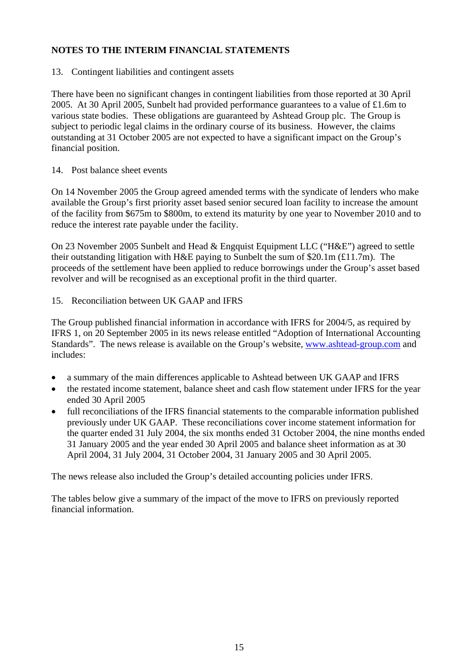13. Contingent liabilities and contingent assets

There have been no significant changes in contingent liabilities from those reported at 30 April 2005. At 30 April 2005, Sunbelt had provided performance guarantees to a value of £1.6m to various state bodies. These obligations are guaranteed by Ashtead Group plc. The Group is subject to periodic legal claims in the ordinary course of its business. However, the claims outstanding at 31 October 2005 are not expected to have a significant impact on the Group's financial position.

### 14. Post balance sheet events

On 14 November 2005 the Group agreed amended terms with the syndicate of lenders who make available the Group's first priority asset based senior secured loan facility to increase the amount of the facility from \$675m to \$800m, to extend its maturity by one year to November 2010 and to reduce the interest rate payable under the facility.

On 23 November 2005 Sunbelt and Head & Engquist Equipment LLC ("H&E") agreed to settle their outstanding litigation with  $H \& E$  paying to Sunbelt the sum of \$20.1m (£11.7m). The proceeds of the settlement have been applied to reduce borrowings under the Group's asset based revolver and will be recognised as an exceptional profit in the third quarter.

## 15. Reconciliation between UK GAAP and IFRS

The Group published financial information in accordance with IFRS for 2004/5, as required by IFRS 1, on 20 September 2005 in its news release entitled "Adoption of International Accounting Standards". The news release is available on the Group's website, [www.ashtead-group.com](http://www.ashtead-group.com/) and includes:

- a summary of the main differences applicable to Ashtead between UK GAAP and IFRS
- the restated income statement, balance sheet and cash flow statement under IFRS for the year ended 30 April 2005
- full reconciliations of the IFRS financial statements to the comparable information published previously under UK GAAP. These reconciliations cover income statement information for the quarter ended 31 July 2004, the six months ended 31 October 2004, the nine months ended 31 January 2005 and the year ended 30 April 2005 and balance sheet information as at 30 April 2004, 31 July 2004, 31 October 2004, 31 January 2005 and 30 April 2005.

The news release also included the Group's detailed accounting policies under IFRS.

The tables below give a summary of the impact of the move to IFRS on previously reported financial information.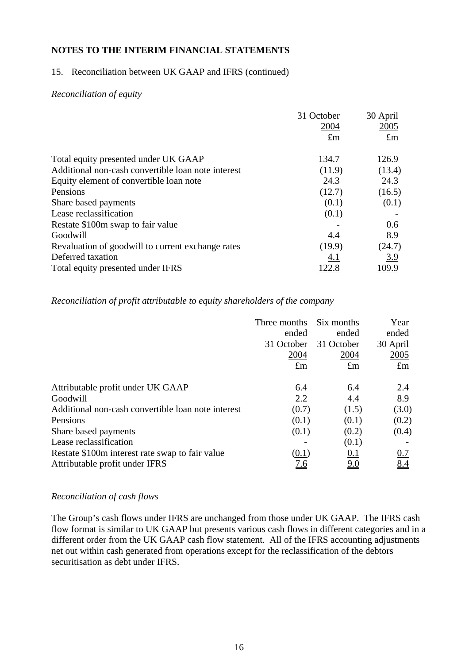### 15. Reconciliation between UK GAAP and IFRS (continued)

#### *Reconciliation of equity*

|                                                    | 31 October<br>2004<br>$\pounds$ m | 30 April<br>2005<br>$\pounds$ m |
|----------------------------------------------------|-----------------------------------|---------------------------------|
| Total equity presented under UK GAAP               | 134.7                             | 126.9                           |
| Additional non-cash convertible loan note interest | (11.9)                            | (13.4)                          |
| Equity element of convertible loan note            | 24.3                              | 24.3                            |
| Pensions                                           | (12.7)                            | (16.5)                          |
| Share based payments                               | (0.1)                             | (0.1)                           |
| Lease reclassification                             | (0.1)                             |                                 |
| Restate \$100m swap to fair value                  |                                   | 0.6                             |
| Goodwill                                           | 4.4                               | 8.9                             |
| Revaluation of goodwill to current exchange rates  | (19.9)                            | (24.7)                          |
| Deferred taxation                                  | <u>4.1</u>                        | 3.9                             |
| Total equity presented under IFRS                  | 122.8                             | 109.9                           |

#### *Reconciliation of profit attributable to equity shareholders of the company*

|                                                    | Three months | Six months        | Year        |
|----------------------------------------------------|--------------|-------------------|-------------|
|                                                    | ended        | ended             | ended       |
|                                                    | 31 October   | 31 October        | 30 April    |
|                                                    | 2004         | 2004              | 2005        |
|                                                    | $\pounds$ m  | $\pounds$ m       | $\pounds$ m |
| Attributable profit under UK GAAP                  | 6.4          | 6.4               | 2.4         |
| Goodwill                                           | 2.2          | 4.4               | 8.9         |
| Additional non-cash convertible loan note interest | (0.7)        | (1.5)             | (3.0)       |
| Pensions                                           | (0.1)        | (0.1)             | (0.2)       |
| Share based payments                               | (0.1)        | (0.2)             | (0.4)       |
| Lease reclassification                             |              | (0.1)             |             |
| Restate \$100m interest rate swap to fair value    | (0.1)        | 0.1               | 0.7         |
| Attributable profit under IFRS                     | <u>7.6</u>   | $\underline{9.0}$ | 8.4         |

#### *Reconciliation of cash flows*

The Group's cash flows under IFRS are unchanged from those under UK GAAP. The IFRS cash flow format is similar to UK GAAP but presents various cash flows in different categories and in a different order from the UK GAAP cash flow statement. All of the IFRS accounting adjustments net out within cash generated from operations except for the reclassification of the debtors securitisation as debt under IFRS.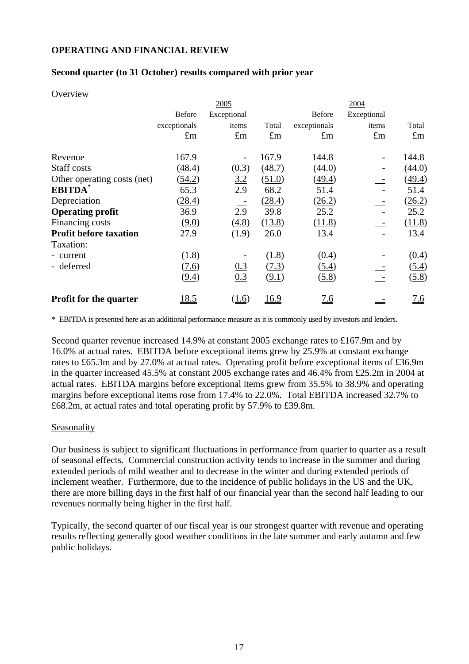### **OPERATING AND FINANCIAL REVIEW**

### **Second quarter (to 31 October) results compared with prior year**

#### **Overview**

|                               |               | 2005                     |             | 2004          |                          |             |  |
|-------------------------------|---------------|--------------------------|-------------|---------------|--------------------------|-------------|--|
|                               | <b>Before</b> | Exceptional              |             | <b>Before</b> | Exceptional              |             |  |
|                               | exceptionals  | items                    | Total       | exceptionals  | items                    | Total       |  |
|                               | $\pounds$ m   | $\pounds$ m              | $\pounds$ m | $\pounds$ m   | $\pounds$ m              | $\pounds$ m |  |
| Revenue                       | 167.9         | $\overline{\phantom{a}}$ | 167.9       | 144.8         |                          | 144.8       |  |
| Staff costs                   | (48.4)        | (0.3)                    | (48.7)      | (44.0)        |                          | (44.0)      |  |
| Other operating costs (net)   | (54.2)        | 3.2                      | (51.0)      | (49.4)        |                          | (49.4)      |  |
| <b>EBITDA</b>                 | 65.3          | 2.9                      | 68.2        | 51.4          |                          | 51.4        |  |
| Depreciation                  | (28.4)        | $\overline{\phantom{a}}$ | (28.4)      | (26.2)        | $\overline{\phantom{a}}$ | (26.2)      |  |
| <b>Operating profit</b>       | 36.9          | 2.9                      | 39.8        | 25.2          |                          | 25.2        |  |
| Financing costs               | (9.0)         | (4.8)                    | (13.8)      | (11.8)        | $\overline{\phantom{a}}$ | (11.8)      |  |
| <b>Profit before taxation</b> | 27.9          | (1.9)                    | 26.0        | 13.4          |                          | 13.4        |  |
| Taxation:                     |               |                          |             |               |                          |             |  |
| - current                     | (1.8)         |                          | (1.8)       | (0.4)         |                          | (0.4)       |  |
| - deferred                    | (7.6)         | 0.3                      | (7.3)       | (5.4)         |                          | (5.4)       |  |
|                               | (9.4)         | 0.3                      | (9.1)       | (5.8)         |                          | (5.8)       |  |
| <b>Profit for the quarter</b> | 18.5          | (1.6)                    | <u>16.9</u> | 7.6           |                          | 7.6         |  |

\* EBITDA is presented here as an additional performance measure as it is commonly used by investors and lenders.

Second quarter revenue increased 14.9% at constant 2005 exchange rates to £167.9m and by 16.0% at actual rates. EBITDA before exceptional items grew by 25.9% at constant exchange rates to £65.3m and by 27.0% at actual rates. Operating profit before exceptional items of £36.9m in the quarter increased 45.5% at constant 2005 exchange rates and 46.4% from £25.2m in 2004 at actual rates. EBITDA margins before exceptional items grew from 35.5% to 38.9% and operating margins before exceptional items rose from 17.4% to 22.0%. Total EBITDA increased 32.7% to £68.2m, at actual rates and total operating profit by 57.9% to £39.8m.

#### Seasonality

Our business is subject to significant fluctuations in performance from quarter to quarter as a result of seasonal effects. Commercial construction activity tends to increase in the summer and during extended periods of mild weather and to decrease in the winter and during extended periods of inclement weather. Furthermore, due to the incidence of public holidays in the US and the UK, there are more billing days in the first half of our financial year than the second half leading to our revenues normally being higher in the first half.

Typically, the second quarter of our fiscal year is our strongest quarter with revenue and operating results reflecting generally good weather conditions in the late summer and early autumn and few public holidays.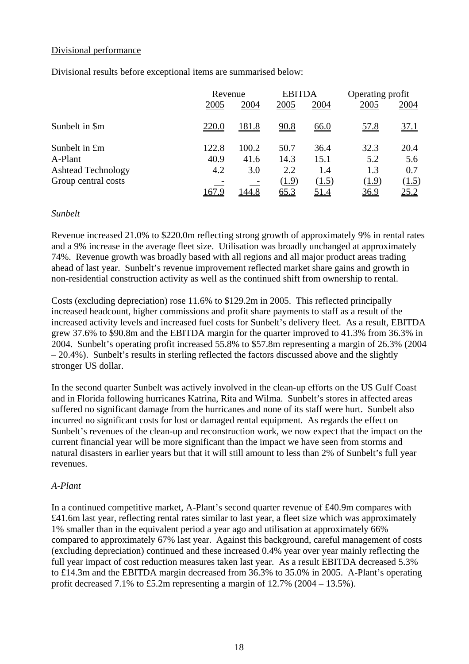### Divisional performance

Divisional results before exceptional items are summarised below:

|                           |       | Revenue      |             | <b>EBITDA</b> | Operating profit |             |
|---------------------------|-------|--------------|-------------|---------------|------------------|-------------|
|                           | 2005  | 2004         | 2005        | 2004          | 2005             | 2004        |
| Sunbelt in \$m            | 220.0 | <u>181.8</u> | <u>90.8</u> | <u>66.0</u>   | 57.8             | 37.1        |
| Sunbelt in £m             | 122.8 | 100.2        | 50.7        | 36.4          | 32.3             | 20.4        |
| A-Plant                   | 40.9  | 41.6         | 14.3        | 15.1          | 5.2              | 5.6         |
| <b>Ashtead Technology</b> | 4.2   | 3.0          | 2.2         | 1.4           | 1.3              | 0.7         |
| Group central costs       |       |              | (1.9)       | (1.5)         | (1.9)            | (1.5)       |
|                           | 167.9 | l 44.8       | <u>65.3</u> | <u>51.4</u>   | 36.9             | <u>25.2</u> |

#### *Sunbelt*

Revenue increased 21.0% to \$220.0m reflecting strong growth of approximately 9% in rental rates and a 9% increase in the average fleet size. Utilisation was broadly unchanged at approximately 74%. Revenue growth was broadly based with all regions and all major product areas trading ahead of last year. Sunbelt's revenue improvement reflected market share gains and growth in non-residential construction activity as well as the continued shift from ownership to rental.

Costs (excluding depreciation) rose 11.6% to \$129.2m in 2005. This reflected principally increased headcount, higher commissions and profit share payments to staff as a result of the increased activity levels and increased fuel costs for Sunbelt's delivery fleet. As a result, EBITDA grew 37.6% to \$90.8m and the EBITDA margin for the quarter improved to 41.3% from 36.3% in 2004. Sunbelt's operating profit increased 55.8% to \$57.8m representing a margin of 26.3% (2004 – 20.4%). Sunbelt's results in sterling reflected the factors discussed above and the slightly stronger US dollar.

In the second quarter Sunbelt was actively involved in the clean-up efforts on the US Gulf Coast and in Florida following hurricanes Katrina, Rita and Wilma. Sunbelt's stores in affected areas suffered no significant damage from the hurricanes and none of its staff were hurt. Sunbelt also incurred no significant costs for lost or damaged rental equipment. As regards the effect on Sunbelt's revenues of the clean-up and reconstruction work, we now expect that the impact on the current financial year will be more significant than the impact we have seen from storms and natural disasters in earlier years but that it will still amount to less than 2% of Sunbelt's full year revenues.

## *A-Plant*

In a continued competitive market, A-Plant's second quarter revenue of £40.9m compares with £41.6m last year, reflecting rental rates similar to last year, a fleet size which was approximately 1% smaller than in the equivalent period a year ago and utilisation at approximately 66% compared to approximately 67% last year. Against this background, careful management of costs (excluding depreciation) continued and these increased 0.4% year over year mainly reflecting the full year impact of cost reduction measures taken last year. As a result EBITDA decreased 5.3% to £14.3m and the EBITDA margin decreased from 36.3% to 35.0% in 2005. A-Plant's operating profit decreased 7.1% to £5.2m representing a margin of  $12.7\%$  (2004 – 13.5%).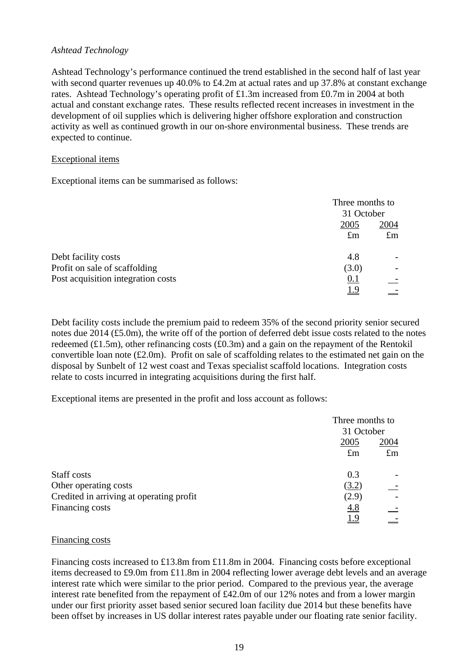### *Ashtead Technology*

Ashtead Technology's performance continued the trend established in the second half of last year with second quarter revenues up 40.0% to £4.2m at actual rates and up 37.8% at constant exchange rates. Ashtead Technology's operating profit of £1.3m increased from £0.7m in 2004 at both actual and constant exchange rates. These results reflected recent increases in investment in the development of oil supplies which is delivering higher offshore exploration and construction activity as well as continued growth in our on-shore environmental business. These trends are expected to continue.

#### Exceptional items

Exceptional items can be summarised as follows:

|                                    |             | Three months to |  |
|------------------------------------|-------------|-----------------|--|
|                                    | 31 October  |                 |  |
|                                    | 2005        | 2004            |  |
|                                    | $\pounds$ m | $\pounds$ m     |  |
| Debt facility costs                | 4.8         |                 |  |
| Profit on sale of scaffolding      | (3.0)       |                 |  |
| Post acquisition integration costs | 0.1         |                 |  |
|                                    | <u>1.9</u>  |                 |  |

Debt facility costs include the premium paid to redeem 35% of the second priority senior secured notes due 2014 (£5.0m), the write off of the portion of deferred debt issue costs related to the notes redeemed (£1.5m), other refinancing costs (£0.3m) and a gain on the repayment of the Rentokil convertible loan note (£2.0m). Profit on sale of scaffolding relates to the estimated net gain on the disposal by Sunbelt of 12 west coast and Texas specialist scaffold locations. Integration costs relate to costs incurred in integrating acquisitions during the first half.

Exceptional items are presented in the profit and loss account as follows:

|                                          |             | Three months to<br>31 October |  |
|------------------------------------------|-------------|-------------------------------|--|
|                                          |             |                               |  |
|                                          | 2005        | 2004                          |  |
|                                          | $\pounds$ m | $\pounds$ m                   |  |
| Staff costs                              | 0.3         |                               |  |
| Other operating costs                    | (3.2)       |                               |  |
| Credited in arriving at operating profit | (2.9)       |                               |  |
| <b>Financing costs</b>                   | 4.8         |                               |  |
|                                          | <u>1.9</u>  |                               |  |

#### Financing costs

Financing costs increased to £13.8m from £11.8m in 2004. Financing costs before exceptional items decreased to £9.0m from £11.8m in 2004 reflecting lower average debt levels and an average interest rate which were similar to the prior period. Compared to the previous year, the average interest rate benefited from the repayment of £42.0m of our 12% notes and from a lower margin under our first priority asset based senior secured loan facility due 2014 but these benefits have been offset by increases in US dollar interest rates payable under our floating rate senior facility.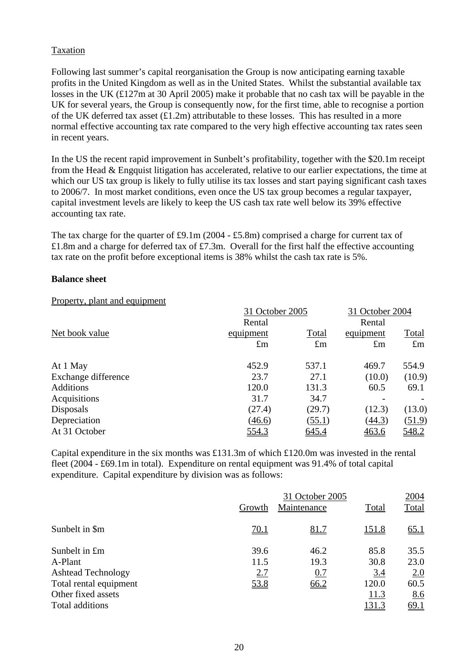## Taxation

Following last summer's capital reorganisation the Group is now anticipating earning taxable profits in the United Kingdom as well as in the United States. Whilst the substantial available tax losses in the UK (£127m at 30 April 2005) make it probable that no cash tax will be payable in the UK for several years, the Group is consequently now, for the first time, able to recognise a portion of the UK deferred tax asset  $(f1.2m)$  attributable to these losses. This has resulted in a more normal effective accounting tax rate compared to the very high effective accounting tax rates seen in recent years.

In the US the recent rapid improvement in Sunbelt's profitability, together with the \$20.1m receipt from the Head & Engquist litigation has accelerated, relative to our earlier expectations, the time at which our US tax group is likely to fully utilise its tax losses and start paying significant cash taxes to 2006/7. In most market conditions, even once the US tax group becomes a regular taxpayer, capital investment levels are likely to keep the US cash tax rate well below its 39% effective accounting tax rate.

The tax charge for the quarter of £9.1m (2004 - £5.8m) comprised a charge for current tax of £1.8m and a charge for deferred tax of £7.3m. Overall for the first half the effective accounting tax rate on the profit before exceptional items is 38% whilst the cash tax rate is 5%.

#### **Balance sheet**

#### Property, plant and equipment

|                     |             | 31 October 2005 |             |              |  |
|---------------------|-------------|-----------------|-------------|--------------|--|
|                     | Rental      |                 | Rental      |              |  |
| Net book value      | equipment   | Total           | equipment   | <b>Total</b> |  |
|                     | $\pounds$ m | $\pounds$ m     | $\pounds$ m | $\pounds$ m  |  |
| At 1 May            | 452.9       | 537.1           | 469.7       | 554.9        |  |
| Exchange difference | 23.7        | 27.1            | (10.0)      | (10.9)       |  |
| <b>Additions</b>    | 120.0       | 131.3           | 60.5        | 69.1         |  |
| Acquisitions        | 31.7        | 34.7            |             |              |  |
| Disposals           | (27.4)      | (29.7)          | (12.3)      | (13.0)       |  |
| Depreciation        | (46.6)      | (55.1)          | (44.3)      | (51.9)       |  |
| At 31 October       | 554.3       | 645.4           | 463.6       | 548.2        |  |

Capital expenditure in the six months was £131.3m of which £120.0m was invested in the rental fleet (2004 - £69.1m in total). Expenditure on rental equipment was 91.4% of total capital expenditure. Capital expenditure by division was as follows:

|                           | 31 October 2005 |             |              |             |
|---------------------------|-----------------|-------------|--------------|-------------|
|                           | Growth          | Maintenance | Total        | Total       |
| Sunbelt in \$m            | 70.1            | <u>81.7</u> | <u>151.8</u> | <u>65.1</u> |
| Sunbelt in £m             | 39.6            | 46.2        | 85.8         | 35.5        |
| A-Plant                   | 11.5            | 19.3        | 30.8         | 23.0        |
| <b>Ashtead Technology</b> | 2.7             | 0.7         | 3.4          | 2.0         |
| Total rental equipment    | <u>53.8</u>     | 66.2        | 120.0        | 60.5        |
| Other fixed assets        |                 |             | 11.3         | 8.6         |
| Total additions           |                 |             | <u>131.3</u> | <u>69.1</u> |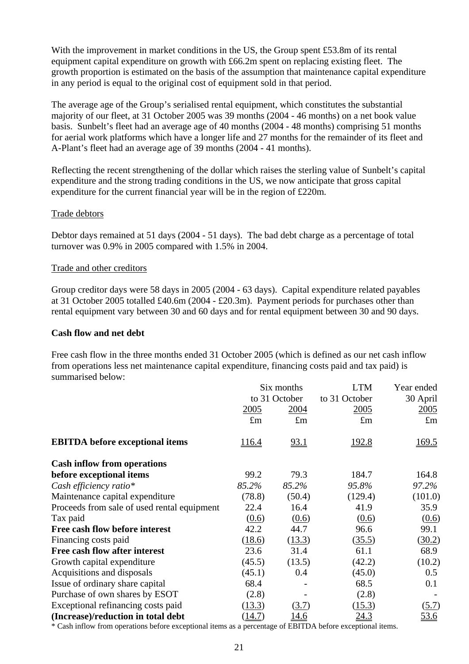With the improvement in market conditions in the US, the Group spent £53.8m of its rental equipment capital expenditure on growth with £66.2m spent on replacing existing fleet. The growth proportion is estimated on the basis of the assumption that maintenance capital expenditure in any period is equal to the original cost of equipment sold in that period.

The average age of the Group's serialised rental equipment, which constitutes the substantial majority of our fleet, at 31 October 2005 was 39 months (2004 - 46 months) on a net book value basis. Sunbelt's fleet had an average age of 40 months (2004 - 48 months) comprising 51 months for aerial work platforms which have a longer life and 27 months for the remainder of its fleet and A-Plant's fleet had an average age of 39 months (2004 - 41 months).

Reflecting the recent strengthening of the dollar which raises the sterling value of Sunbelt's capital expenditure and the strong trading conditions in the US, we now anticipate that gross capital expenditure for the current financial year will be in the region of £220m.

#### Trade debtors

Debtor days remained at 51 days (2004 - 51 days). The bad debt charge as a percentage of total turnover was 0.9% in 2005 compared with 1.5% in 2004.

#### Trade and other creditors

Group creditor days were 58 days in 2005 (2004 - 63 days). Capital expenditure related payables at 31 October 2005 totalled £40.6m (2004 - £20.3m). Payment periods for purchases other than rental equipment vary between 30 and 60 days and for rental equipment between 30 and 90 days.

#### **Cash flow and net debt**

Free cash flow in the three months ended 31 October 2005 (which is defined as our net cash inflow from operations less net maintenance capital expenditure, financing costs paid and tax paid) is summarised below:

|                                             | Six months<br>to 31 October |             | <b>LTM</b>    | Year ended<br>30 April |  |
|---------------------------------------------|-----------------------------|-------------|---------------|------------------------|--|
|                                             |                             |             | to 31 October |                        |  |
|                                             | 2005                        | 2004        | 2005          | 2005                   |  |
|                                             | $\pounds$ m                 | $\pounds$ m | $\pounds$ m   | $\pounds$ m            |  |
| <b>EBITDA</b> before exceptional items      | <u>116.4</u>                | <u>93.1</u> | <u> 192.8</u> | 169.5                  |  |
| <b>Cash inflow from operations</b>          |                             |             |               |                        |  |
| before exceptional items                    | 99.2                        | 79.3        | 184.7         | 164.8                  |  |
| Cash efficiency ratio*                      | 85.2%                       | 85.2%       | 95.8%         | 97.2%                  |  |
| Maintenance capital expenditure             | (78.8)                      | (50.4)      | (129.4)       | (101.0)                |  |
| Proceeds from sale of used rental equipment | 22.4                        | 16.4        | 41.9          | 35.9                   |  |
| Tax paid                                    | (0.6)                       | (0.6)       | (0.6)         | (0.6)                  |  |
| Free cash flow before interest              | 42.2                        | 44.7        | 96.6          | 99.1                   |  |
| Financing costs paid                        | (18.6)                      | (13.3)      | (35.5)        | (30.2)                 |  |
| Free cash flow after interest               | 23.6                        | 31.4        | 61.1          | 68.9                   |  |
| Growth capital expenditure                  | (45.5)                      | (13.5)      | (42.2)        | (10.2)                 |  |
| Acquisitions and disposals                  | (45.1)                      | 0.4         | (45.0)        | 0.5                    |  |
| Issue of ordinary share capital             | 68.4                        |             | 68.5          | 0.1                    |  |
| Purchase of own shares by ESOT              | (2.8)                       |             | (2.8)         |                        |  |
| Exceptional refinancing costs paid          | (13.3)                      | (3.7)       | (15.3)        | (5.7)                  |  |
| (Increase)/reduction in total debt          | (14.7)                      | 14.6        | 24.3          | 53.6                   |  |

\* Cash inflow from operations before exceptional items as a percentage of EBITDA before exceptional items.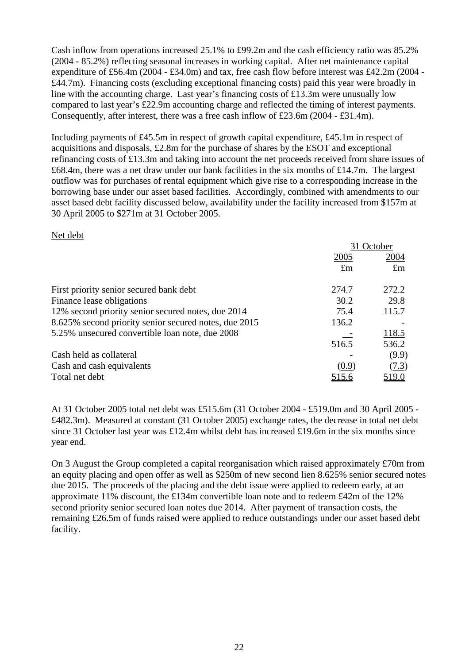Cash inflow from operations increased 25.1% to £99.2m and the cash efficiency ratio was 85.2% (2004 - 85.2%) reflecting seasonal increases in working capital. After net maintenance capital expenditure of £56.4m (2004 - £34.0m) and tax, free cash flow before interest was £42.2m (2004 - £44.7m). Financing costs (excluding exceptional financing costs) paid this year were broadly in line with the accounting charge. Last year's financing costs of £13.3m were unusually low compared to last year's £22.9m accounting charge and reflected the timing of interest payments. Consequently, after interest, there was a free cash inflow of £23.6m (2004 - £31.4m).

Including payments of £45.5m in respect of growth capital expenditure, £45.1m in respect of acquisitions and disposals, £2.8m for the purchase of shares by the ESOT and exceptional refinancing costs of £13.3m and taking into account the net proceeds received from share issues of £68.4m, there was a net draw under our bank facilities in the six months of £14.7m. The largest outflow was for purchases of rental equipment which give rise to a corresponding increase in the borrowing base under our asset based facilities. Accordingly, combined with amendments to our asset based debt facility discussed below, availability under the facility increased from \$157m at 30 April 2005 to \$271m at 31 October 2005.

### Net debt

|                                                       | 31 October  |              |
|-------------------------------------------------------|-------------|--------------|
|                                                       | 2005        | 2004         |
|                                                       | $\pounds$ m | $\pounds$ m  |
| First priority senior secured bank debt               | 274.7       | 272.2        |
| Finance lease obligations                             | 30.2        | 29.8         |
| 12% second priority senior secured notes, due 2014    | 75.4        | 115.7        |
| 8.625% second priority senior secured notes, due 2015 | 136.2       |              |
| 5.25% unsecured convertible loan note, due 2008       |             | 118.5        |
|                                                       | 516.5       | 536.2        |
| Cash held as collateral                               |             | (9.9)        |
| Cash and cash equivalents                             | (0.9)       | (7.3)        |
| Total net debt                                        |             | <u>519.0</u> |

At 31 October 2005 total net debt was £515.6m (31 October 2004 - £519.0m and 30 April 2005 - £482.3m). Measured at constant (31 October 2005) exchange rates, the decrease in total net debt since 31 October last year was £12.4m whilst debt has increased £19.6m in the six months since year end.

On 3 August the Group completed a capital reorganisation which raised approximately £70m from an equity placing and open offer as well as \$250m of new second lien 8.625% senior secured notes due 2015. The proceeds of the placing and the debt issue were applied to redeem early, at an approximate 11% discount, the £134m convertible loan note and to redeem £42m of the 12% second priority senior secured loan notes due 2014. After payment of transaction costs, the remaining £26.5m of funds raised were applied to reduce outstandings under our asset based debt facility.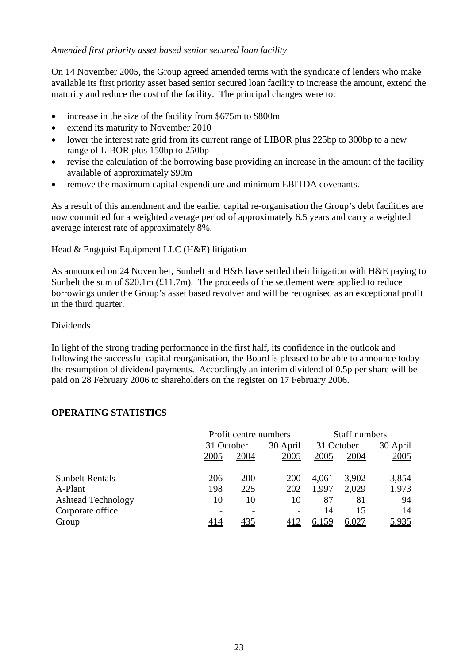## *Amended first priority asset based senior secured loan facility*

On 14 November 2005, the Group agreed amended terms with the syndicate of lenders who make available its first priority asset based senior secured loan facility to increase the amount, extend the maturity and reduce the cost of the facility. The principal changes were to:

- increase in the size of the facility from \$675m to \$800m
- extend its maturity to November 2010
- lower the interest rate grid from its current range of LIBOR plus 225bp to 300bp to a new range of LIBOR plus 150bp to 250bp
- revise the calculation of the borrowing base providing an increase in the amount of the facility available of approximately \$90m
- remove the maximum capital expenditure and minimum EBITDA covenants.

As a result of this amendment and the earlier capital re-organisation the Group's debt facilities are now committed for a weighted average period of approximately 6.5 years and carry a weighted average interest rate of approximately 8%.

#### Head & Engquist Equipment LLC (H&E) litigation

As announced on 24 November, Sunbelt and H&E have settled their litigation with H&E paying to Sunbelt the sum of  $$20.1m (£11.7m)$ . The proceeds of the settlement were applied to reduce borrowings under the Group's asset based revolver and will be recognised as an exceptional profit in the third quarter.

#### Dividends

In light of the strong trading performance in the first half, its confidence in the outlook and following the successful capital reorganisation, the Board is pleased to be able to announce today the resumption of dividend payments. Accordingly an interim dividend of 0.5p per share will be paid on 28 February 2006 to shareholders on the register on 17 February 2006.

## **OPERATING STATISTICS**

|                           | Profit centre numbers |            |                        | <b>Staff numbers</b> |            |            |  |
|---------------------------|-----------------------|------------|------------------------|----------------------|------------|------------|--|
|                           | 31 October            |            | 30 April<br>31 October |                      |            | 30 April   |  |
|                           | 2005                  | 2004       | 2005                   | 2005                 | 2004       | 2005       |  |
| <b>Sunbelt Rentals</b>    | 206                   | 200        | 200                    | 4,061                | 3,902      | 3,854      |  |
| A-Plant                   | 198                   | 225        | 202                    | 1,997                | 2,029      | 1,973      |  |
| <b>Ashtead Technology</b> | 10                    | 10         | 10                     | 87                   | 81         | 94         |  |
| Corporate office          |                       |            |                        | <u>14</u>            | <u> 15</u> | <u> 14</u> |  |
| Group                     | <u>414</u>            | <u>435</u> |                        | <u>6,159</u>         | 6,027      | 5,935      |  |